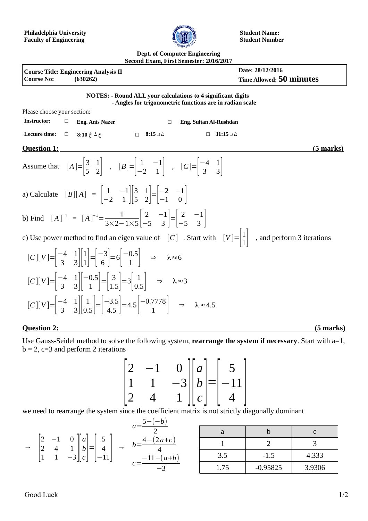

**Student Name: Student Number**

## **Dept. of Computer Engineering Second Exam, First Semester: 2016/2017**

| <b>Course Title: Engineering Analysis II</b><br><b>Course No:</b><br>(630262)                                                                                                                                                | Date: 28/12/2016<br>Time Allowed: 50 minutes                                                                                       |
|------------------------------------------------------------------------------------------------------------------------------------------------------------------------------------------------------------------------------|------------------------------------------------------------------------------------------------------------------------------------|
| <b>NOTES: - Round ALL your calculations to 4 significant digits</b>                                                                                                                                                          | - Angles for trigonometric functions are in radian scale                                                                           |
| Please choose your section:                                                                                                                                                                                                  |                                                                                                                                    |
| <b>Instructor:</b><br>$\Box$<br><b>Eng. Anis Nazer</b>                                                                                                                                                                       | Eng. Sultan Al-Rushdan<br>$\Box$                                                                                                   |
| Lecture time:<br>ن ر 8:15         ⊓<br>$\Box$<br>ح ٹ خ 10:8                                                                                                                                                                  | $\Box$<br>ن ر 11:15                                                                                                                |
| <b>Question 1:</b>                                                                                                                                                                                                           | <u>(5 marks)</u>                                                                                                                   |
| Assume that $[A] = \begin{vmatrix} 3 & 1 \\ 5 & 2 \end{vmatrix}$ , $[B] = \begin{vmatrix} 1 & -1 \\ -2 & 1 \end{vmatrix}$ , $[C] = \begin{vmatrix} -4 & 1 \\ 3 & 3 \end{vmatrix}$                                            |                                                                                                                                    |
| a) Calculate $[B][A] = \begin{vmatrix} 1 & -1 \\ -2 & 1 \end{vmatrix} \begin{vmatrix} 3 & 1 \\ 5 & 2 \end{vmatrix} = \begin{vmatrix} -2 & -1 \\ -1 & 0 \end{vmatrix}$                                                        |                                                                                                                                    |
| b) Find $[A]^{-1} = [A]^{-1} = \frac{1}{3 \times 2 - 1 \times 5} \begin{bmatrix} 2 & -1 \\ -5 & 3 \end{bmatrix} = \begin{bmatrix} 2 & -1 \\ -5 & 3 \end{bmatrix}$                                                            |                                                                                                                                    |
|                                                                                                                                                                                                                              | c) Use power method to find an eigen value of $[C]$ . Start with $[V]=\begin{bmatrix}1\\1\end{bmatrix}$ , and perform 3 iterations |
| $[C][V] = \begin{vmatrix} -4 & 1 \\ 3 & 3 \end{vmatrix} \begin{vmatrix} 1 \\ 1 \end{vmatrix} = \begin{vmatrix} -3 \\ 6 \end{vmatrix} = 6 \begin{vmatrix} -0.5 \\ 1 \end{vmatrix} \Rightarrow \lambda \approx 6$              |                                                                                                                                    |
| $[C][V] = \begin{vmatrix} -4 & 1 \\ 3 & 3 \end{vmatrix} - 0.5 = \begin{vmatrix} 3 \\ 1 & 5 \end{vmatrix} = 3 \begin{vmatrix} 1 \\ 0 & 5 \end{vmatrix} \Rightarrow \lambda \approx 3$                                         |                                                                                                                                    |
| $[C][V] = \begin{vmatrix} -4 & 1 \\ 3 & 3 \end{vmatrix} \begin{vmatrix} 1 \\ 0.5 \end{vmatrix} = \begin{vmatrix} -3.5 \\ 4.5 \end{vmatrix} = 4.5 \begin{vmatrix} -0.7778 \\ 1 \end{vmatrix} \Rightarrow \lambda \approx 4.5$ |                                                                                                                                    |
| <b>Question 2:</b>                                                                                                                                                                                                           | <u>(5 marks)</u>                                                                                                                   |

Use Gauss-Seidel method to solve the following system, **rearrange the system if necessary**. Start with a=1,  $b = 2$ ,  $c=3$  and perform 2 iterations

$$
\begin{bmatrix} 2 & -1 & 0 \\ 1 & 1 & -3 \\ 2 & 4 & 1 \end{bmatrix} \begin{bmatrix} a \\ b \\ c \end{bmatrix} = \begin{bmatrix} 5 \\ -11 \\ 4 \end{bmatrix}
$$

we need to rearrange the system since the coefficient matrix is not strictly diagonally dominant

|               |   |                                                | a =    | a    | υ          |        |
|---------------|---|------------------------------------------------|--------|------|------------|--------|
| $\rightarrow$ | _ | ر<br>–<br>$\overline{4}$<br>$\rightarrow$<br>— | $2a+c$ |      |            |        |
|               |   | ◡<br>$\sqrt{ }$<br>ັ<br>J                      | $a+b$  | 3.5  | $-1.5$     | 4.333  |
|               |   | . .                                            |        | 1.75 | $-0.95825$ | 3.9306 |